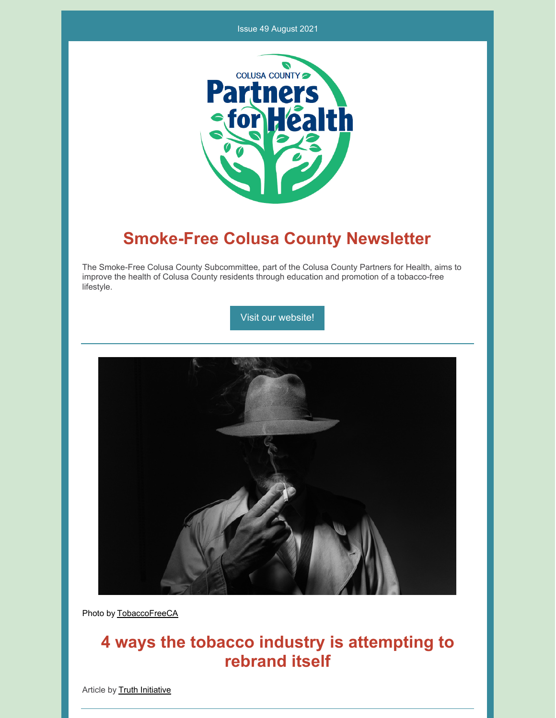#### Issue 49 August 2021



## **Smoke-Free Colusa County Newsletter**

The Smoke-Free Colusa County Subcommittee, part of the Colusa County Partners for Health, aims to improve the health of Colusa County residents through education and promotion of a tobacco-free lifestyle.

Visit our [website!](https://www.countyofcolusa.org/index.aspx?NID=580)



Photo by [TobaccoFreeCA](https://tobaccofreeca.com/tobacco-industry/the-tobacco-industry-is-a-relentless-predator/)

# **4 ways the tobacco industry is attempting to rebrand itself**

Article by **Truth [Initiative](https://truthinitiative.org/research-resources/tobacco-industry-marketing/4-ways-tobacco-industry-attempting-rebrand-itself)**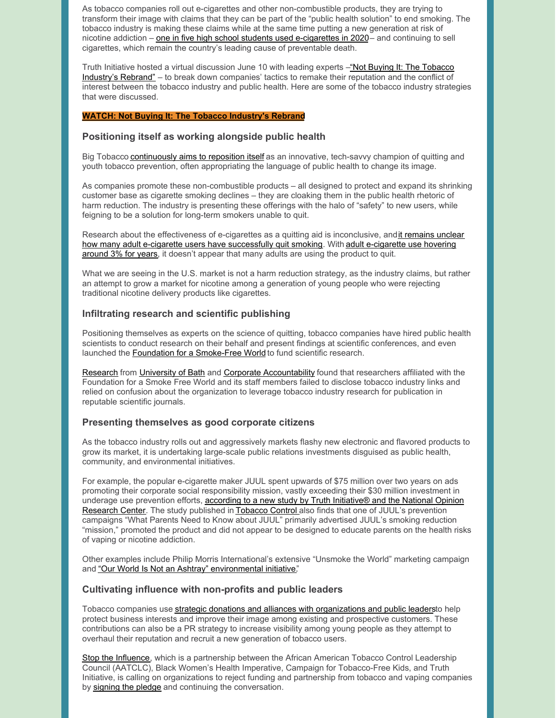As tobacco companies roll out e-cigarettes and other non-combustible products, they are trying to transform their image with claims that they can be part of the "public health solution" to end smoking. The tobacco industry is making these claims while at the same time putting a new generation at risk of nicotine addiction – one in five high school students used [e-cigarettes](https://truthinitiative.org/press/press-release/new-report-shows-youth-e-cigarette-use-remains-epidemic-levels-and-harm) in 2020– and continuing to sell cigarettes, which remain the country's leading cause of preventable death.

Truth Initiative hosted a virtual discussion June 10 with leading experts -"Not Buying It: The Tobacco Industry's Rebrand" – to break down [companies'](https://truthinitiative.org/not-buying-it-tobacco-industrys-rebrand) tactics to remake their reputation and the conflict of interest between the tobacco industry and public health. Here are some of the tobacco industry strategies that were discussed.

#### **WATCH: Not Buying It: The Tobacco [Industry's](https://truthinitiative.org/not-buying-it-tobacco-industrys-rebrand) Rebrand**

#### **Positioning itself as working alongside public health**

Big Tobacco [continuously](https://truthinitiative.org/research-resources/tobacco-industry-marketing/spinning-new-tobacco-industry-how-big-tobacco-trying) aims to reposition itself as an innovative, tech-savvy champion of quitting and youth tobacco prevention, often appropriating the language of public health to change its image.

As companies promote these non-combustible products – all designed to protect and expand its shrinking customer base as cigarette smoking declines – they are cloaking them in the public health rhetoric of harm reduction. The industry is presenting these offerings with the halo of "safety" to new users, while feigning to be a solution for long-term smokers unable to quit.

Research about the [effectiveness](https://www.cdc.gov/tobacco/data_statistics/sgr/2020-smoking-cessation/fact-sheets/adult-smoking-cessation-e-cigarettes-use/index.html) of e-cigarettes as a quitting aid is inconclusive, andit remains unclear how many adult e-cigarette users have [successfully](https://truthinitiative.org/research-resources/tobacco-industry-marketing/spinning-new-tobacco-industry-how-big-tobacco-trying) quit smoking. With adult e-cigarette use hovering around 3% for years, it doesn't appear that many adults are using the product to quit.

What we are seeing in the U.S. market is not a harm reduction strategy, as the industry claims, but rather an attempt to grow a market for nicotine among a generation of young people who were rejecting traditional nicotine delivery products like cigarettes.

#### **Infiltrating research and scientific publishing**

Positioning themselves as experts on the science of quitting, tobacco companies have hired public health scientists to conduct research on their behalf and present findings at scientific conferences, and even launched the Foundation for a [Smoke-Free](https://truthinitiative.org/research-resources/tobacco-prevention-efforts/3-things-know-about-foundation-smoke-free-world) World to fund scientific research.

[Research](https://truthinitiative.org/research-resources/tobacco-industry-marketing/new-report-tobacco-industry-funded-group-obscures-its#:~:text=Researchers affiliated with the Foundation,industry research for publication in) from [University](https://www.bath.ac.uk/research-groups/tobacco-control-research-group/) of Bath and Corporate [Accountability](https://www.corporateaccountability.org/) found that researchers affiliated with the Foundation for a Smoke Free World and its staff members failed to disclose tobacco industry links and relied on confusion about the organization to leverage tobacco industry research for publication in reputable scientific journals.

#### **Presenting themselves as good corporate citizens**

As the tobacco industry rolls out and aggressively markets flashy new electronic and flavored products to grow its market, it is undertaking large-scale public relations investments disguised as public health, community, and environmental initiatives.

For example, the popular e-cigarette maker JUUL spent upwards of \$75 million over two years on ads promoting their corporate social responsibility mission, vastly exceeding their \$30 million investment in underage use [prevention](https://truthinitiative.org/research-resources/emerging-tobacco-products/juul-spends-more-double-corporate-responsibility) efforts, according to a new study by Truth Initiative® and the National Opinion Research Center. The study published in [Tobacco](https://tobaccocontrol.bmj.com/content/early/2021/05/30/tobaccocontrol-2020-056355.full?ijkey=AerPGzzszwRH3li&keytype=ref) Control also finds that one of JUUL's prevention campaigns "What Parents Need to Know about JUUL" primarily advertised JUUL's smoking reduction "mission," promoted the product and did not appear to be designed to educate parents on the health risks of vaping or nicotine addiction.

Other examples include Philip Morris International's extensive "Unsmoke the World" marketing campaign and "Our World Is Not an Ashtray" [environmental](https://truthinitiative.org/research-resources/harmful-effects-tobacco/tobacco-and-environment) initiative."

#### **Cultivating influence with non-profits and public leaders**

Tobacco companies use strategic donations and alliances with [organizations](https://truthinitiative.org/sites/default/files/media/files/2021/06/Industry Microbrief_Non-profits Big Tobacco_FINAL.pdf) and public leadersto help protect business interests and improve their image among existing and prospective customers. These contributions can also be a PR strategy to increase visibility among young people as they attempt to overhaul their reputation and recruit a new generation of tobacco users.

Stop the [Influence](https://truthinitiative.org/stop-the-influence), which is a partnership between the African American Tobacco Control Leadership Council (AATCLC), Black Women's Health Imperative, Campaign for Tobacco-Free Kids, and Truth Initiative, is calling on organizations to reject funding and partnership from tobacco and vaping companies by [signing](https://truthinitiative.org/get-involved/sign-pledge) the pledge and continuing the conversation.